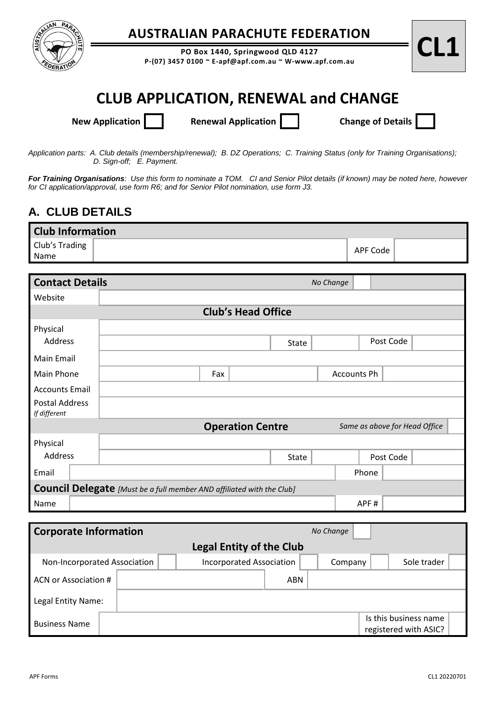

## **AUSTRALIAN PARACHUTE FEDERATION**

**PO Box 1440, Springwood QLD 4127 P-(07) 3457 0100**  $\sim$  **E-apf@apf.com.au**  $\sim$  **W-www.apf.com.au** 



# **CLUB APPLICATION, RENEWAL and CHANGE**

**New Application Renewal Application Change of Details** 

*Application parts: A. Club details (membership/renewal); B. DZ Operations; C. Training Status (only for Training Organisations); D. Sign-off; E. Payment.* 

*For Training Organisations: Use this form to nominate a TOM. CI and Senior Pilot details (if known) may be noted here, however for CI application/approval, use form R6; and for Senior Pilot nomination, use form J3.*

### **A. CLUB DETAILS**

| <b>Club Information</b> |  |          |  |  |  |  |  |  |
|-------------------------|--|----------|--|--|--|--|--|--|
| Club's Trading          |  | APF Code |  |  |  |  |  |  |
| <b>Name</b>             |  |          |  |  |  |  |  |  |

| <b>Contact Details</b>         |                                                                              |                         |              | No Change   |       |           |                               |  |  |
|--------------------------------|------------------------------------------------------------------------------|-------------------------|--------------|-------------|-------|-----------|-------------------------------|--|--|
| Website                        |                                                                              |                         |              |             |       |           |                               |  |  |
| <b>Club's Head Office</b>      |                                                                              |                         |              |             |       |           |                               |  |  |
| Physical                       |                                                                              |                         |              |             |       |           |                               |  |  |
| Address                        |                                                                              |                         | <b>State</b> |             |       | Post Code |                               |  |  |
| Main Email                     |                                                                              |                         |              |             |       |           |                               |  |  |
| Main Phone                     | Fax                                                                          |                         |              | Accounts Ph |       |           |                               |  |  |
| <b>Accounts Email</b>          |                                                                              |                         |              |             |       |           |                               |  |  |
| Postal Address<br>If different |                                                                              |                         |              |             |       |           |                               |  |  |
|                                |                                                                              | <b>Operation Centre</b> |              |             |       |           | Same as above for Head Office |  |  |
| Physical                       |                                                                              |                         |              |             |       |           |                               |  |  |
| Address                        |                                                                              |                         | <b>State</b> |             |       | Post Code |                               |  |  |
| Email                          |                                                                              |                         |              |             | Phone |           |                               |  |  |
|                                | <b>Council Delegate</b> [Must be a full member AND affiliated with the Club] |                         |              |             |       |           |                               |  |  |
| Name                           |                                                                              |                         |              |             | APF#  |           |                               |  |  |

| <b>Corporate Information</b> |                                 |  |                                 | No Change |  |         |  |                                                |  |  |
|------------------------------|---------------------------------|--|---------------------------------|-----------|--|---------|--|------------------------------------------------|--|--|
|                              | <b>Legal Entity of the Club</b> |  |                                 |           |  |         |  |                                                |  |  |
| Non-Incorporated Association |                                 |  | <b>Incorporated Association</b> |           |  | Company |  | Sole trader                                    |  |  |
| ACN or Association #         |                                 |  |                                 | ABN       |  |         |  |                                                |  |  |
| Legal Entity Name:           |                                 |  |                                 |           |  |         |  |                                                |  |  |
| <b>Business Name</b>         |                                 |  |                                 |           |  |         |  | Is this business name<br>registered with ASIC? |  |  |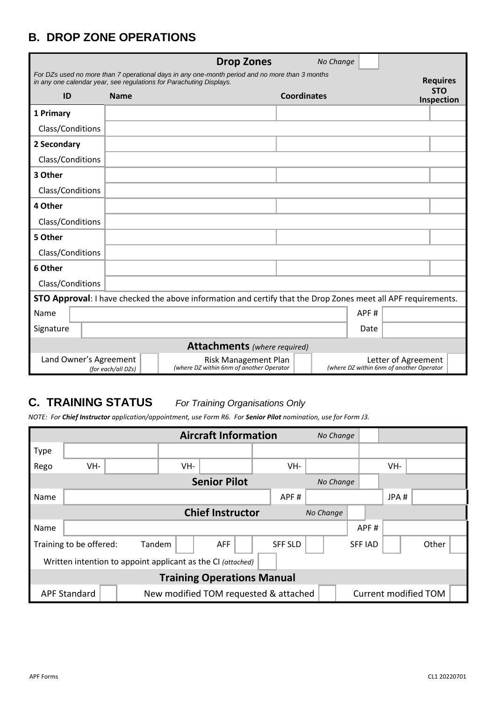### **B. DROP ZONE OPERATIONS**

|                                     |                    | <b>Drop Zones</b>                                                                                                                                                     |                    | No Change                                |                          |  |  |  |
|-------------------------------------|--------------------|-----------------------------------------------------------------------------------------------------------------------------------------------------------------------|--------------------|------------------------------------------|--------------------------|--|--|--|
|                                     |                    | For DZs used no more than 7 operational days in any one-month period and no more than 3 months<br>in any one calendar year, see regulations for Parachuting Displays. |                    |                                          | <b>Requires</b>          |  |  |  |
| ID                                  | <b>Name</b>        |                                                                                                                                                                       | <b>Coordinates</b> |                                          | <b>STO</b><br>Inspection |  |  |  |
| 1 Primary                           |                    |                                                                                                                                                                       |                    |                                          |                          |  |  |  |
| Class/Conditions                    |                    |                                                                                                                                                                       |                    |                                          |                          |  |  |  |
| 2 Secondary                         |                    |                                                                                                                                                                       |                    |                                          |                          |  |  |  |
| Class/Conditions                    |                    |                                                                                                                                                                       |                    |                                          |                          |  |  |  |
| 3 Other                             |                    |                                                                                                                                                                       |                    |                                          |                          |  |  |  |
| Class/Conditions                    |                    |                                                                                                                                                                       |                    |                                          |                          |  |  |  |
| 4 Other                             |                    |                                                                                                                                                                       |                    |                                          |                          |  |  |  |
| Class/Conditions                    |                    |                                                                                                                                                                       |                    |                                          |                          |  |  |  |
| 5 Other                             |                    |                                                                                                                                                                       |                    |                                          |                          |  |  |  |
| Class/Conditions                    |                    |                                                                                                                                                                       |                    |                                          |                          |  |  |  |
| 6 Other                             |                    |                                                                                                                                                                       |                    |                                          |                          |  |  |  |
| Class/Conditions                    |                    |                                                                                                                                                                       |                    |                                          |                          |  |  |  |
|                                     |                    | <b>STO Approval:</b> I have checked the above information and certify that the Drop Zones meet all APF requirements.                                                  |                    |                                          |                          |  |  |  |
| Name                                |                    |                                                                                                                                                                       |                    | APF#                                     |                          |  |  |  |
| Signature                           |                    |                                                                                                                                                                       |                    | Date                                     |                          |  |  |  |
| <b>Attachments</b> (where required) |                    |                                                                                                                                                                       |                    |                                          |                          |  |  |  |
| Land Owner's Agreement              | (for each/all DZs) | <b>Risk Management Plan</b><br>(where DZ within 6nm of another Operator                                                                                               |                    | (where DZ within 6nm of another Operator | Letter of Agreement      |  |  |  |

#### **C. TRAINING STATUS** *For Training Organisations Only*

*NOTE: For Chief Instructor application/appointment, use Form R6. For Senior Pilot nomination, use for Form J3.*

|                                   |                                                             |        |     | <b>Aircraft Information</b>           |  |                | No Change |  |                |      |                      |  |
|-----------------------------------|-------------------------------------------------------------|--------|-----|---------------------------------------|--|----------------|-----------|--|----------------|------|----------------------|--|
| <b>Type</b>                       |                                                             |        |     |                                       |  |                |           |  |                |      |                      |  |
| Rego                              | VH-                                                         |        | VH- |                                       |  | VH-            |           |  |                | VH-  |                      |  |
|                                   |                                                             |        |     | <b>Senior Pilot</b>                   |  |                | No Change |  |                |      |                      |  |
| Name                              |                                                             |        |     |                                       |  | APF#           |           |  |                | JPA# |                      |  |
|                                   | <b>Chief Instructor</b><br>No Change                        |        |     |                                       |  |                |           |  |                |      |                      |  |
| Name                              |                                                             |        |     |                                       |  |                |           |  | APF#           |      |                      |  |
|                                   | Training to be offered:                                     | Tandem |     | <b>AFF</b>                            |  | <b>SFF SLD</b> |           |  | <b>SFF IAD</b> |      | Other                |  |
|                                   | Written intention to appoint applicant as the CI (attached) |        |     |                                       |  |                |           |  |                |      |                      |  |
| <b>Training Operations Manual</b> |                                                             |        |     |                                       |  |                |           |  |                |      |                      |  |
|                                   | <b>APF Standard</b>                                         |        |     | New modified TOM requested & attached |  |                |           |  |                |      | Current modified TOM |  |